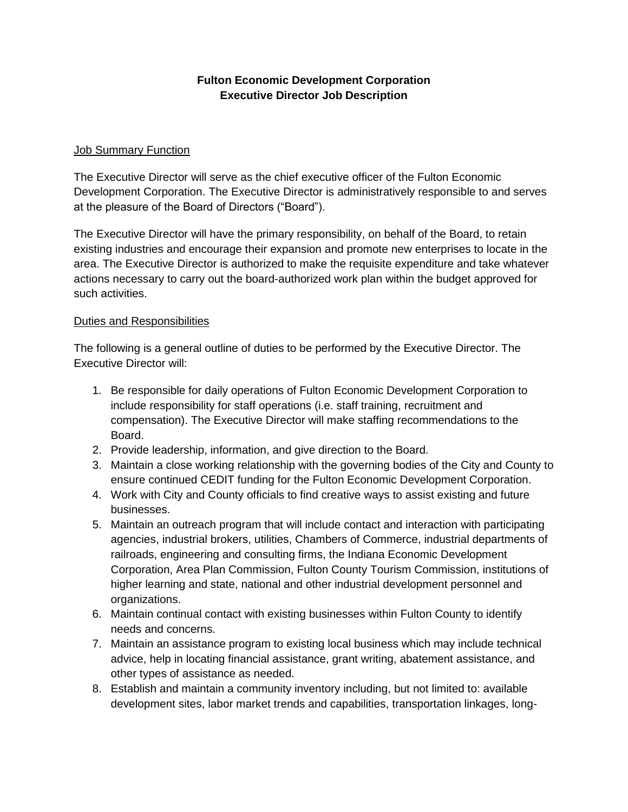## **Fulton Economic Development Corporation Executive Director Job Description**

### Job Summary Function

The Executive Director will serve as the chief executive officer of the Fulton Economic Development Corporation. The Executive Director is administratively responsible to and serves at the pleasure of the Board of Directors ("Board").

The Executive Director will have the primary responsibility, on behalf of the Board, to retain existing industries and encourage their expansion and promote new enterprises to locate in the area. The Executive Director is authorized to make the requisite expenditure and take whatever actions necessary to carry out the board-authorized work plan within the budget approved for such activities.

#### Duties and Responsibilities

The following is a general outline of duties to be performed by the Executive Director. The Executive Director will:

- 1. Be responsible for daily operations of Fulton Economic Development Corporation to include responsibility for staff operations (i.e. staff training, recruitment and compensation). The Executive Director will make staffing recommendations to the Board.
- 2. Provide leadership, information, and give direction to the Board.
- 3. Maintain a close working relationship with the governing bodies of the City and County to ensure continued CEDIT funding for the Fulton Economic Development Corporation.
- 4. Work with City and County officials to find creative ways to assist existing and future businesses.
- 5. Maintain an outreach program that will include contact and interaction with participating agencies, industrial brokers, utilities, Chambers of Commerce, industrial departments of railroads, engineering and consulting firms, the Indiana Economic Development Corporation, Area Plan Commission, Fulton County Tourism Commission, institutions of higher learning and state, national and other industrial development personnel and organizations.
- 6. Maintain continual contact with existing businesses within Fulton County to identify needs and concerns.
- 7. Maintain an assistance program to existing local business which may include technical advice, help in locating financial assistance, grant writing, abatement assistance, and other types of assistance as needed.
- 8. Establish and maintain a community inventory including, but not limited to: available development sites, labor market trends and capabilities, transportation linkages, long-